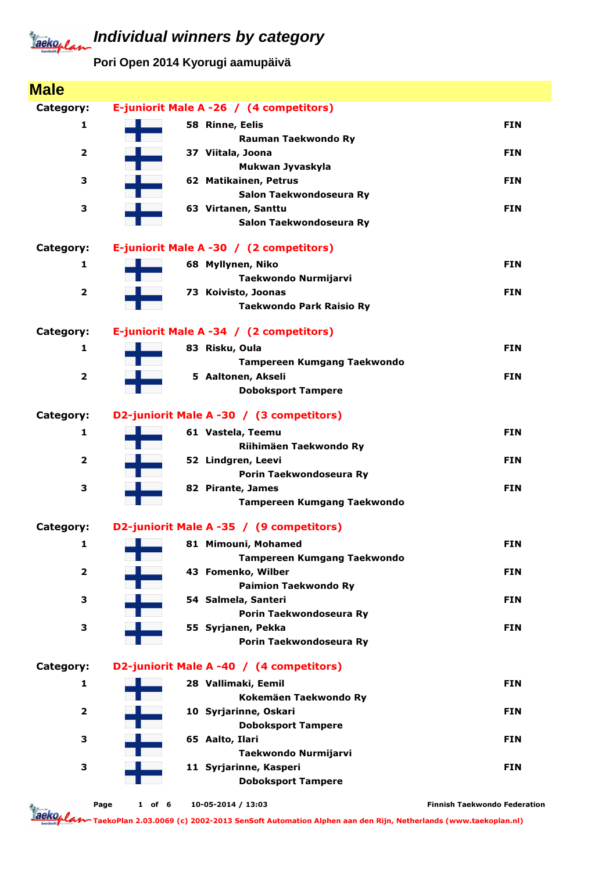**Pori Open 2014 Kyorugi aamupäivä**

| <b>Male</b>             |                                                |                                     |
|-------------------------|------------------------------------------------|-------------------------------------|
| Category:               | E-juniorit Male A -26 / (4 competitors)        |                                     |
| 1                       | 58 Rinne, Eelis                                | <b>FIN</b>                          |
|                         | Rauman Taekwondo Ry                            |                                     |
| $\overline{\mathbf{2}}$ | 37 Viitala, Joona                              | <b>FIN</b>                          |
|                         | Mukwan Jyvaskyla                               |                                     |
| З                       | 62 Matikainen, Petrus                          | <b>FIN</b>                          |
| З                       | Salon Taekwondoseura Ry<br>63 Virtanen, Santtu | <b>FIN</b>                          |
|                         | Salon Taekwondoseura Ry                        |                                     |
|                         |                                                |                                     |
| Category:               | E-juniorit Male A -30 / (2 competitors)        |                                     |
| 1                       | 68 Myllynen, Niko                              | <b>FIN</b>                          |
|                         | Taekwondo Nurmijarvi                           |                                     |
| $\overline{\mathbf{2}}$ | 73 Koivisto, Joonas                            | <b>FIN</b>                          |
|                         | <b>Taekwondo Park Raisio Ry</b>                |                                     |
| Category:               | E-juniorit Male A -34 / (2 competitors)        |                                     |
| 1                       | 83 Risku, Oula                                 | <b>FIN</b>                          |
|                         | Tampereen Kumgang Taekwondo                    |                                     |
| $\overline{\mathbf{2}}$ | 5 Aaltonen, Akseli                             | <b>FIN</b>                          |
|                         | <b>Doboksport Tampere</b>                      |                                     |
| Category:               | D2-juniorit Male A -30 / (3 competitors)       |                                     |
| 1                       | 61 Vastela, Teemu                              | <b>FIN</b>                          |
|                         | Riihimäen Taekwondo Ry                         |                                     |
| 2                       | 52 Lindgren, Leevi                             | <b>FIN</b>                          |
|                         | Porin Taekwondoseura Ry                        |                                     |
| З                       | 82 Pirante, James                              | <b>FIN</b>                          |
|                         | <b>Tampereen Kumgang Taekwondo</b>             |                                     |
| Category:               | D2-juniorit Male A -35 / (9 competitors)       |                                     |
| 1                       | 81 Mimouni, Mohamed                            | <b>FIN</b>                          |
|                         | Tampereen Kumgang Taekwondo                    |                                     |
| $\overline{\mathbf{2}}$ | 43 Fomenko, Wilber                             | <b>FIN</b>                          |
|                         | <b>Paimion Taekwondo Ry</b>                    |                                     |
| З                       | 54 Salmela, Santeri                            | <b>FIN</b>                          |
|                         | Porin Taekwondoseura Ry                        |                                     |
| З                       | 55 Syrjanen, Pekka                             | <b>FIN</b>                          |
|                         | Porin Taekwondoseura Ry                        |                                     |
| Category:               | D2-juniorit Male A -40 / (4 competitors)       |                                     |
| 1                       | 28 Vallimaki, Eemil                            | <b>FIN</b>                          |
|                         | Kokemäen Taekwondo Ry                          |                                     |
| $\overline{\mathbf{2}}$ | 10 Syrjarinne, Oskari                          | <b>FIN</b>                          |
|                         | <b>Doboksport Tampere</b>                      |                                     |
| З                       | 65 Aalto, Ilari                                | <b>FIN</b>                          |
|                         | Taekwondo Nurmijarvi                           |                                     |
| 3                       | 11 Syrjarinne, Kasperi                         | <b>FIN</b>                          |
|                         | <b>Doboksport Tampere</b>                      |                                     |
|                         | 10-05-2014 / 13:03<br>Page<br>$1$ of 6         | <b>Finnish Taekwondo Federation</b> |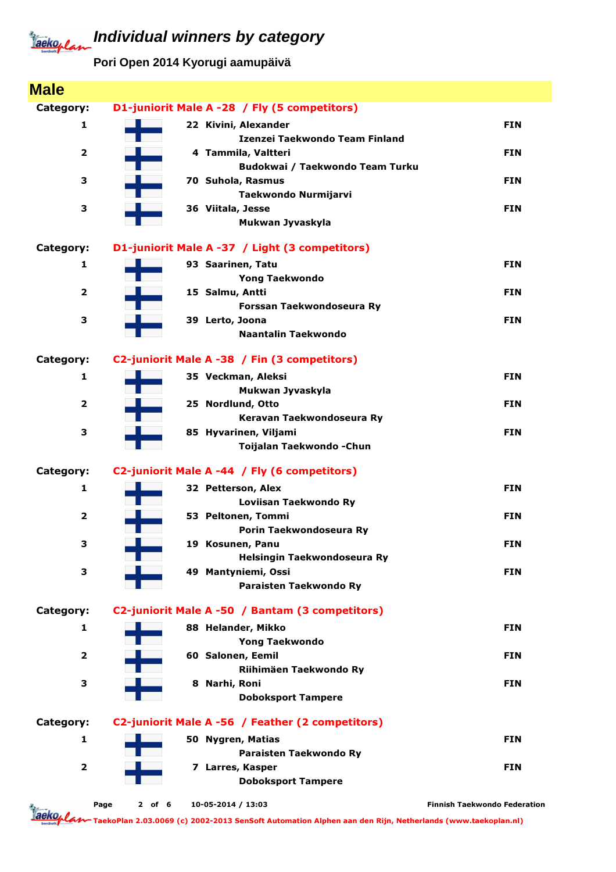**Pori Open 2014 Kyorugi aamupäivä**

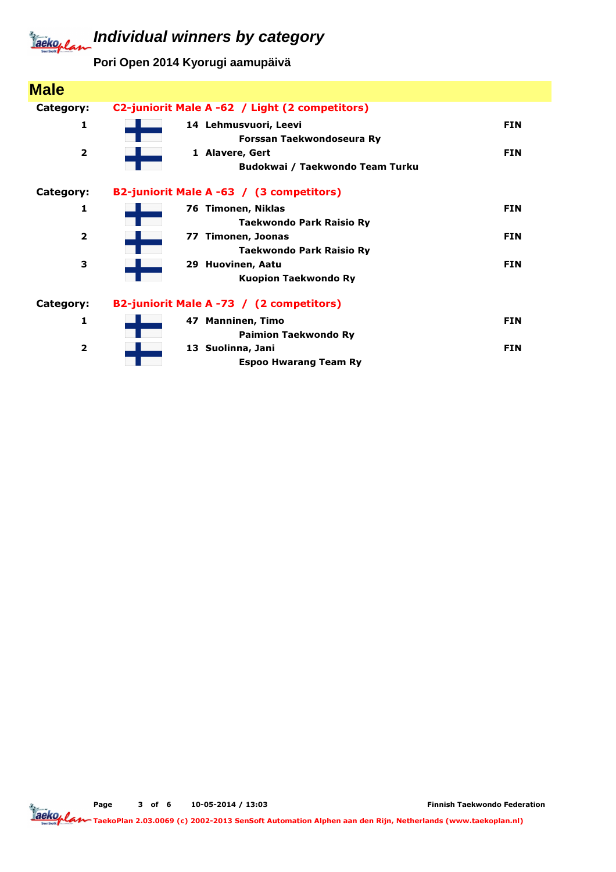**Pori Open 2014 Kyorugi aamupäivä**

| <b>Male</b>             |                                                          |            |
|-------------------------|----------------------------------------------------------|------------|
| Category:               | C2-juniorit Male A -62 / Light (2 competitors)           |            |
| 1                       | 14 Lehmusvuori, Leevi<br>Forssan Taekwondoseura Ry       | <b>FIN</b> |
| $\overline{2}$          | 1 Alavere, Gert<br>Budokwai / Taekwondo Team Turku       | <b>FIN</b> |
| Category:               | B2-juniorit Male A -63 / (3 competitors)                 |            |
| 1                       | 76 Timonen, Niklas<br><b>Taekwondo Park Raisio Ry</b>    | <b>FIN</b> |
| $\overline{\mathbf{2}}$ | Timonen, Joonas<br>77<br><b>Taekwondo Park Raisio Ry</b> | <b>FIN</b> |
| 3                       | 29 Huovinen, Aatu<br><b>Kuopion Taekwondo Ry</b>         | <b>FIN</b> |
| Category:               | B2-juniorit Male A -73 / (2 competitors)                 |            |
| 1                       | 47 Manninen, Timo<br><b>Paimion Taekwondo Ry</b>         | <b>FIN</b> |
| $\overline{2}$          | 13 Suolinna, Jani<br><b>Espoo Hwarang Team Ry</b>        | <b>FIN</b> |

Page 3 of 6 10-05-2014 / 13:03

Finnish Taekwondo Federation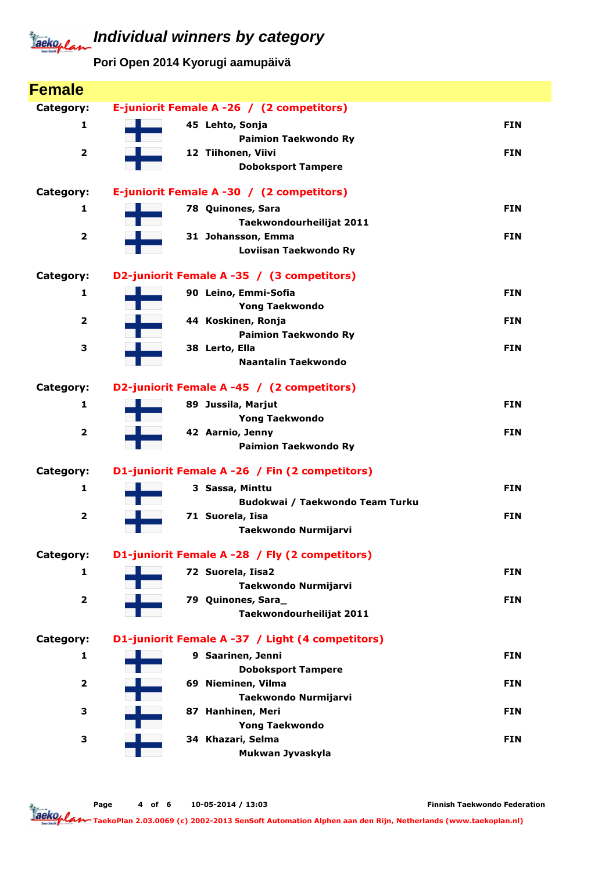**Pori Open 2014 Kyorugi aamupäivä**

| <b>Female</b>           |                                                  |            |
|-------------------------|--------------------------------------------------|------------|
| Category:               | E-juniorit Female A -26 / (2 competitors)        |            |
| 1                       | 45 Lehto, Sonja                                  | <b>FIN</b> |
|                         | <b>Paimion Taekwondo Ry</b>                      |            |
| $\overline{\mathbf{2}}$ | 12 Tiihonen, Viivi                               | <b>FIN</b> |
|                         | <b>Doboksport Tampere</b>                        |            |
| Category:               | E-juniorit Female A -30 / (2 competitors)        |            |
| $\mathbf{1}$            | 78 Quinones, Sara                                | <b>FIN</b> |
|                         | Taekwondourheilijat 2011                         |            |
| $\overline{\mathbf{2}}$ | 31 Johansson, Emma                               | <b>FIN</b> |
|                         | Loviisan Taekwondo Ry                            |            |
| Category:               | D2-juniorit Female A -35 / (3 competitors)       |            |
| $\mathbf{1}$            | 90 Leino, Emmi-Sofia                             | <b>FIN</b> |
|                         | <b>Yong Taekwondo</b>                            |            |
| $\overline{\mathbf{2}}$ | 44 Koskinen, Ronja                               | <b>FIN</b> |
| 3                       | <b>Paimion Taekwondo Ry</b>                      | <b>FIN</b> |
|                         | 38 Lerto, Ella<br><b>Naantalin Taekwondo</b>     |            |
|                         |                                                  |            |
| Category:               | D2-juniorit Female A -45 / (2 competitors)       |            |
| $\mathbf{1}$            | 89 Jussila, Marjut                               | <b>FIN</b> |
| $\overline{\mathbf{2}}$ | <b>Yong Taekwondo</b>                            | <b>FIN</b> |
|                         | 42 Aarnio, Jenny<br><b>Paimion Taekwondo Ry</b>  |            |
|                         |                                                  |            |
| Category:               | D1-juniorit Female A -26 / Fin (2 competitors)   |            |
| $\mathbf{1}$            | 3 Sassa, Minttu                                  | <b>FIN</b> |
|                         | Budokwai / Taekwondo Team Turku                  |            |
| $\overline{\mathbf{2}}$ | 71 Suorela, Iisa                                 | <b>FIN</b> |
|                         | Taekwondo Nurmijarvi                             |            |
| Category:               | D1-juniorit Female A -28 / Fly (2 competitors)   |            |
| 1                       | 72 Suorela, Iisa2                                | <b>FIN</b> |
|                         | Taekwondo Nurmijarvi                             |            |
| $\overline{\mathbf{2}}$ | 79 Quinones, Sara_                               | <b>FIN</b> |
|                         | Taekwondourheilijat 2011                         |            |
| Category:               | D1-juniorit Female A -37 / Light (4 competitors) |            |
| 1                       | 9 Saarinen, Jenni                                | <b>FIN</b> |
|                         | <b>Doboksport Tampere</b>                        |            |
| $\overline{\mathbf{2}}$ | 69 Nieminen, Vilma                               | <b>FIN</b> |
| 3                       | Taekwondo Nurmijarvi<br>87 Hanhinen, Meri        | <b>FIN</b> |
|                         | <b>Yong Taekwondo</b>                            |            |
| 3                       | 34 Khazari, Selma                                | <b>FIN</b> |
|                         | Mukwan Jyvaskyla                                 |            |
|                         |                                                  |            |

Page 4 of 6 10-05-2014 / 13:03

Finnish Taekwondo Federation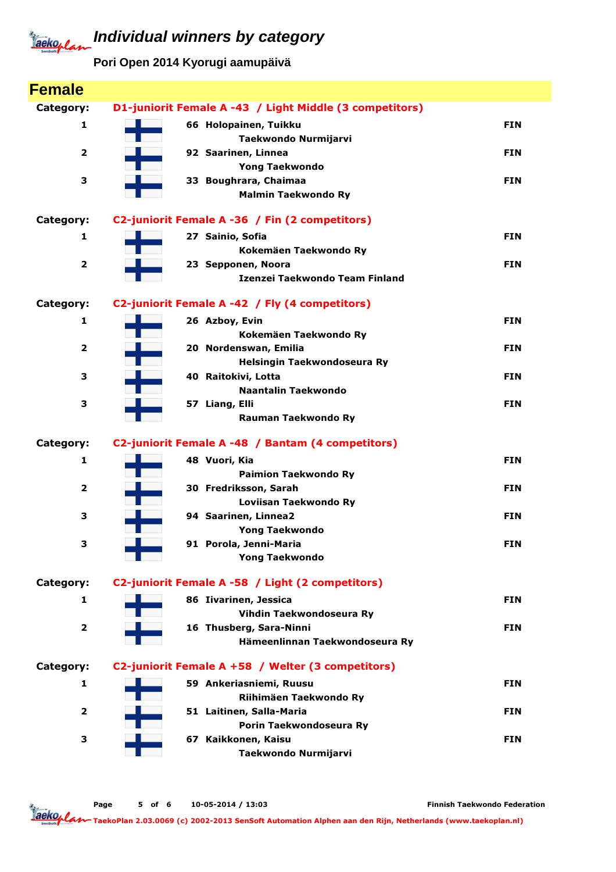**Pori Open 2014 Kyorugi aamupäivä**

| <b>Female</b>           |                                                         |            |
|-------------------------|---------------------------------------------------------|------------|
| Category:               | D1-juniorit Female A -43 / Light Middle (3 competitors) |            |
| 1                       | 66 Holopainen, Tuikku                                   | <b>FIN</b> |
|                         | Taekwondo Nurmijarvi                                    |            |
| 2                       | 92 Saarinen, Linnea                                     | <b>FIN</b> |
|                         | <b>Yong Taekwondo</b>                                   |            |
| З                       | 33 Boughrara, Chaimaa                                   | <b>FIN</b> |
|                         | <b>Malmin Taekwondo Ry</b>                              |            |
| Category:               | C2-juniorit Female A -36 / Fin (2 competitors)          |            |
| 1                       | 27 Sainio, Sofia                                        | <b>FIN</b> |
|                         | Kokemäen Taekwondo Ry                                   |            |
| $\overline{\mathbf{2}}$ | 23 Sepponen, Noora                                      | <b>FIN</b> |
|                         | Izenzei Taekwondo Team Finland                          |            |
| Category:               | C2-juniorit Female A -42 / Fly (4 competitors)          |            |
| 1                       | 26 Azboy, Evin                                          | <b>FIN</b> |
|                         | Kokemäen Taekwondo Ry                                   |            |
| $\overline{\mathbf{2}}$ | 20 Nordenswan, Emilia                                   | <b>FIN</b> |
|                         | Helsingin Taekwondoseura Ry                             |            |
| 3                       | 40 Raitokivi, Lotta                                     | <b>FIN</b> |
|                         | <b>Naantalin Taekwondo</b>                              |            |
| З                       | 57 Liang, Elli<br>Rauman Taekwondo Ry                   | <b>FIN</b> |
|                         |                                                         |            |
| Category:               | C2-juniorit Female A -48 / Bantam (4 competitors)       |            |
| 1                       | 48 Vuori, Kia                                           | <b>FIN</b> |
|                         | <b>Paimion Taekwondo Ry</b>                             |            |
| 2                       | 30 Fredriksson, Sarah                                   | <b>FIN</b> |
| 3                       | Loviisan Taekwondo Ry<br>94 Saarinen, Linnea2           | <b>FIN</b> |
|                         | <b>Yong Taekwondo</b>                                   |            |
| з                       | 91 Porola, Jenni-Maria                                  | <b>FIN</b> |
|                         | <b>Yong Taekwondo</b>                                   |            |
| Category:               | C2-juniorit Female A -58 / Light (2 competitors)        |            |
| 1                       | 86 Iivarinen, Jessica                                   | <b>FIN</b> |
|                         | Vihdin Taekwondoseura Ry                                |            |
| 2                       | 16 Thusberg, Sara-Ninni                                 | <b>FIN</b> |
|                         | Hämeenlinnan Taekwondoseura Ry                          |            |
| Category:               | C2-juniorit Female A +58 / Welter (3 competitors)       |            |
| 1                       | 59 Ankeriasniemi, Ruusu                                 | <b>FIN</b> |
|                         | Riihimäen Taekwondo Ry                                  |            |
|                         |                                                         |            |
| 2                       | 51 Laitinen, Salla-Maria                                | <b>FIN</b> |
|                         | Porin Taekwondoseura Ry                                 |            |
| З                       | 67 Kaikkonen, Kaisu                                     | <b>FIN</b> |

Page 5 of 6 10-05-2014 / 13:03

Finnish Taekwondo Federation